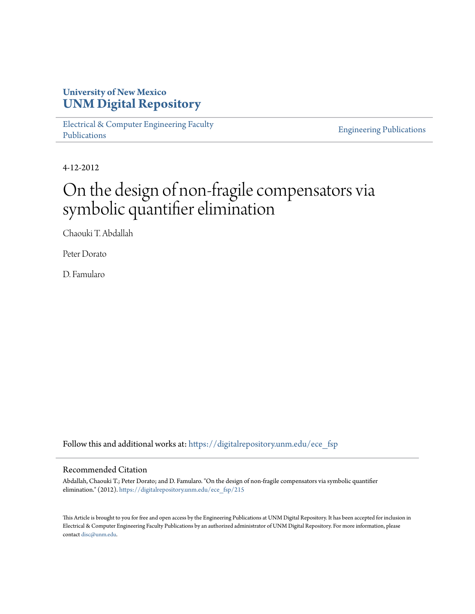# **University of New Mexico [UNM Digital Repository](https://digitalrepository.unm.edu?utm_source=digitalrepository.unm.edu%2Fece_fsp%2F215&utm_medium=PDF&utm_campaign=PDFCoverPages)**

[Electrical & Computer Engineering Faculty](https://digitalrepository.unm.edu/ece_fsp?utm_source=digitalrepository.unm.edu%2Fece_fsp%2F215&utm_medium=PDF&utm_campaign=PDFCoverPages) [Publications](https://digitalrepository.unm.edu/ece_fsp?utm_source=digitalrepository.unm.edu%2Fece_fsp%2F215&utm_medium=PDF&utm_campaign=PDFCoverPages)

[Engineering Publications](https://digitalrepository.unm.edu/eng_fsp?utm_source=digitalrepository.unm.edu%2Fece_fsp%2F215&utm_medium=PDF&utm_campaign=PDFCoverPages)

4-12-2012

# On the design of non-fragile compensators via symbolic quantifier elimination

Chaouki T. Abdallah

Peter Dorato

D. Famularo

Follow this and additional works at: [https://digitalrepository.unm.edu/ece\\_fsp](https://digitalrepository.unm.edu/ece_fsp?utm_source=digitalrepository.unm.edu%2Fece_fsp%2F215&utm_medium=PDF&utm_campaign=PDFCoverPages)

### Recommended Citation

Abdallah, Chaouki T.; Peter Dorato; and D. Famularo. "On the design of non-fragile compensators via symbolic quantifier elimination." (2012). [https://digitalrepository.unm.edu/ece\\_fsp/215](https://digitalrepository.unm.edu/ece_fsp/215?utm_source=digitalrepository.unm.edu%2Fece_fsp%2F215&utm_medium=PDF&utm_campaign=PDFCoverPages)

This Article is brought to you for free and open access by the Engineering Publications at UNM Digital Repository. It has been accepted for inclusion in Electrical & Computer Engineering Faculty Publications by an authorized administrator of UNM Digital Repository. For more information, please contact [disc@unm.edu.](mailto:disc@unm.edu)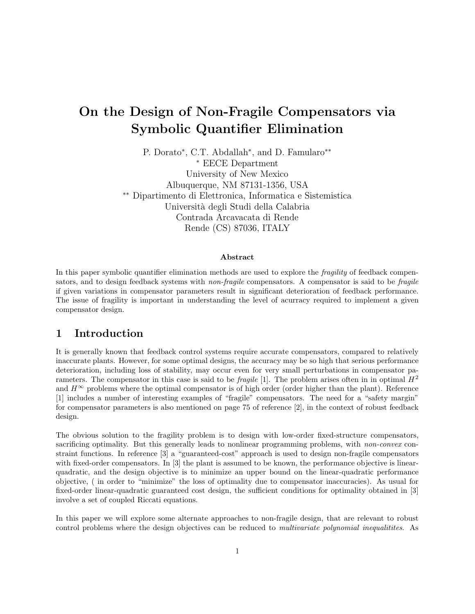# On the Design of Non-Fragile Compensators via Symbolic Quantifier Elimination

P. Dorato<sup>\*</sup>, C.T. Abdallah<sup>\*</sup>, and D. Famularo<sup>\*\*</sup> <sup>∗</sup> EECE Department University of New Mexico Albuquerque, NM 87131-1356, USA ∗∗ Dipartimento di Elettronica, Informatica e Sistemistica Universit`a degli Studi della Calabria Contrada Arcavacata di Rende Rende (CS) 87036, ITALY

#### Abstract

In this paper symbolic quantifier elimination methods are used to explore the *fragility* of feedback compensators, and to design feedback systems with *non-fragile* compensators. A compensator is said to be *fragile* if given variations in compensator parameters result in significant deterioration of feedback performance. The issue of fragility is important in understanding the level of acurracy required to implement a given compensator design.

# 1 Introduction

It is generally known that feedback control systems require accurate compensators, compared to relatively inaccurate plants. However, for some optimal designs, the accuracy may be so high that serious performance deterioration, including loss of stability, may occur even for very small perturbations in compensator parameters. The compensator in this case is said to be *fragile* [1]. The problem arises often in in optimal  $H^2$ and  $H^{\infty}$  problems where the optimal compensator is of high order (order higher than the plant). Reference [1] includes a number of interesting examples of "fragile" compensators. The need for a "safety margin" for compensator parameters is also mentioned on page 75 of reference [2], in the context of robust feedback design.

The obvious solution to the fragility problem is to design with low-order fixed-structure compensators, sacrificing optimality. But this generally leads to nonlinear programming problems, with non-convex constraint functions. In reference [3] a "guaranteed-cost" approach is used to design non-fragile compensators with fixed-order compensators. In [3] the plant is assumed to be known, the performance objective is linearquadratic, and the design objective is to minimize an upper bound on the linear-quadratic performance objective, ( in order to "minimize" the loss of optimality due to compensator inaccuracies). As usual for fixed-order linear-quadratic guaranteed cost design, the sufficient conditions for optimality obtained in [3] involve a set of coupled Riccati equations.

In this paper we will explore some alternate approaches to non-fragile design, that are relevant to robust control problems where the design objectives can be reduced to *multivariate polynomial inequalities*. As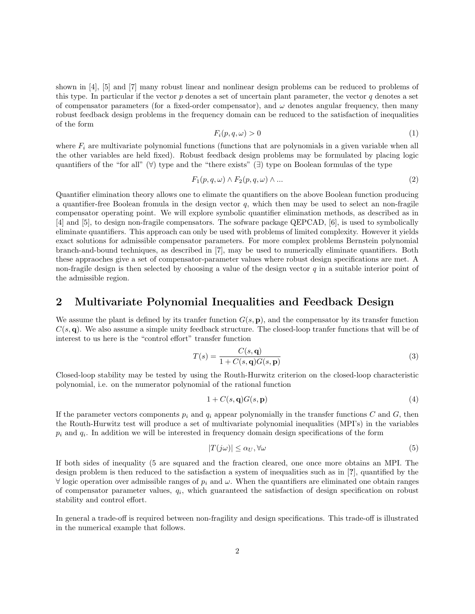shown in [4], [5] and [7] many robust linear and nonlinear design problems can be reduced to problems of this type. In particular if the vector  $p$  denotes a set of uncertain plant parameter, the vector  $q$  denotes a set of compensator parameters (for a fixed-order compensator), and  $\omega$  denotes angular frequency, then many robust feedback design problems in the frequency domain can be reduced to the satisfaction of inequalities of the form

$$
F_i(p,q,\omega) > 0 \tag{1}
$$

where  $F_i$  are multivariate polynomial functions (functions that are polynomials in a given variable when all the other variables are held fixed). Robust feedback design problems may be formulated by placing logic quantifiers of the "for all"  $(\forall)$  type and the "there exists" (∃) type on Boolean formulas of the type

$$
F_1(p,q,\omega) \wedge F_2(p,q,\omega) \wedge \dots \tag{2}
$$

Quantifier elimination theory allows one to elimate the quantifiers on the above Boolean function producing a quantifier-free Boolean fromula in the design vector  $q$ , which then may be used to select an non-fragile compensator operating point. We will explore symbolic quantifier elimination methods, as described as in [4] and [5], to design non-fragile compensators. The sofware package QEPCAD, [6], is used to symbolically eliminate quantifiers. This approach can only be used with problems of limited complexity. However it yields exact solutions for admissible compensator parameters. For more complex problems Bernstein polynomial branch-and-bound techniques, as described in [7], may be used to numerically eliminate quantifiers. Both these appraoches give a set of compensator-parameter values where robust design specifications are met. A non-fragile design is then selected by choosing a value of the design vector  $q$  in a suitable interior point of the admissible region.

# 2 Multivariate Polynomial Inequalities and Feedback Design

We assume the plant is defined by its tranfer function  $G(s, \mathbf{p})$ , and the compensator by its transfer function  $C(s, \mathbf{q})$ . We also assume a simple unity feedback structure. The closed-loop tranfer functions that will be of interest to us here is the "control effort" transfer function

$$
T(s) = \frac{C(s, \mathbf{q})}{1 + C(s, \mathbf{q})G(s, \mathbf{p})}
$$
\n(3)

Closed-loop stability may be tested by using the Routh-Hurwitz criterion on the closed-loop characteristic polynomial, i.e. on the numerator polynomial of the rational function

$$
1 + C(s, \mathbf{q})G(s, \mathbf{p})\tag{4}
$$

If the parameter vectors components  $p_i$  and  $q_i$  appear polynomially in the transfer functions C and G, then the Routh-Hurwitz test will produce a set of multivariate polynomial inequalities (MPI's) in the variables  $p_i$  and  $q_i$ . In addition we will be interested in frequency domain design specifications of the form

$$
|T(j\omega)| \le \alpha_U, \forall \omega \tag{5}
$$

If both sides of inequality (5 are squared and the fraction cleared, one once more obtains an MPI. The design problem is then reduced to the satisfaction a system of inequalities such as in [?], quantified by the  $\forall$  logic operation over admissible ranges of  $p_i$  and  $\omega$ . When the quantifiers are eliminated one obtain ranges of compensator parameter values,  $q_i$ , which guaranteed the satisfaction of design specification on robust stability and control effort.

In general a trade-off is required between non-fragility and design specifications. This trade-off is illustrated in the numerical example that follows.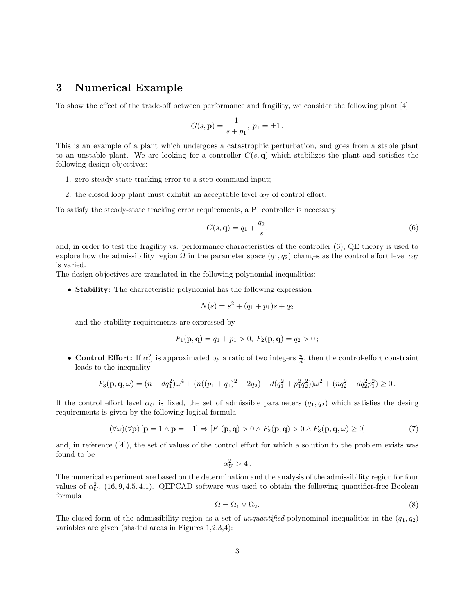# 3 Numerical Example

To show the effect of the trade-off between performance and fragility, we consider the following plant [4]

$$
G(s, \mathbf{p}) = \frac{1}{s + p_1}, \ p_1 = \pm 1.
$$

This is an example of a plant which undergoes a catastrophic perturbation, and goes from a stable plant to an unstable plant. We are looking for a controller  $C(s, \mathbf{q})$  which stabilizes the plant and satisfies the following design objectives:

- 1. zero steady state tracking error to a step command input;
- 2. the closed loop plant must exhibit an acceptable level  $\alpha_U$  of control effort.

To satisfy the steady-state tracking error requirements, a PI controller is necessary

$$
C(s, \mathbf{q}) = q_1 + \frac{q_2}{s},\tag{6}
$$

and, in order to test the fragility vs. performance characteristics of the controller (6), QE theory is used to explore how the admissibility region  $\Omega$  in the parameter space  $(q_1, q_2)$  changes as the control effort level  $\alpha_U$ is varied.

The design objectives are translated in the following polynomial inequalities:

• Stability: The characteristic polynomial has the following expression

$$
N(s) = s^2 + (q_1 + p_1)s + q_2
$$

and the stability requirements are expressed by

$$
F_1(\mathbf{p}, \mathbf{q}) = q_1 + p_1 > 0, F_2(\mathbf{p}, \mathbf{q}) = q_2 > 0;
$$

• Control Effort: If  $\alpha_U^2$  is approximated by a ratio of two integers  $\frac{n}{d}$ , then the control-effort constraint leads to the inequality

$$
F_3(\mathbf{p}, \mathbf{q}, \omega) = (n - dq_1^2)\omega^4 + (n((p_1 + q_1)^2 - 2q_2) - d(q_1^2 + p_1^2 q_2^2))\omega^2 + (nq_2^2 - dq_2^2 p_1^2) \ge 0.
$$

If the control effort level  $\alpha_U$  is fixed, the set of admissible parameters  $(q_1, q_2)$  which satisfies the desing requirements is given by the following logical formula

$$
(\forall \omega)(\forall \mathbf{p}) [\mathbf{p} = 1 \land \mathbf{p} = -1] \Rightarrow [F_1(\mathbf{p}, \mathbf{q}) > 0 \land F_2(\mathbf{p}, \mathbf{q}) > 0 \land F_3(\mathbf{p}, \mathbf{q}, \omega) \ge 0] \tag{7}
$$

and, in reference ([4]), the set of values of the control effort for which a solution to the problem exists was found to be  $\alpha$ 

$$
\alpha_U^2 > 4.
$$

The numerical experiment are based on the determination and the analysis of the admissibility region for four values of  $\alpha_U^2$ , (16, 9, 4.5, 4.1). QEPCAD software was used to obtain the following quantifier-free Boolean formula

$$
\Omega = \Omega_1 \vee \Omega_2. \tag{8}
$$

The closed form of the admissibility region as a set of *unquantified* polynominal inequalities in the  $(q_1, q_2)$ variables are given (shaded areas in Figures 1,2,3,4):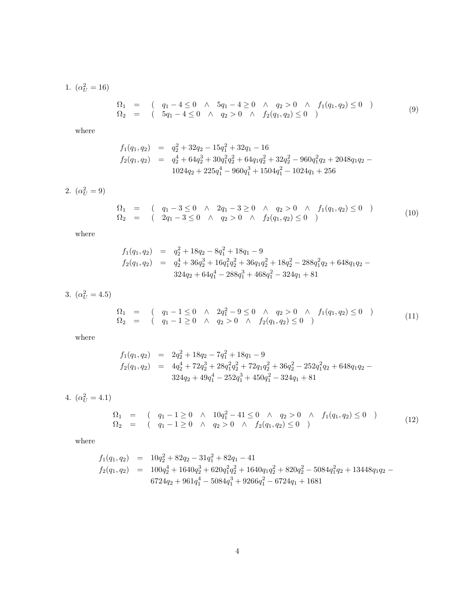1.  $(\alpha_U^2 = 16)$ 

$$
\begin{array}{rcl}\n\Omega_1 & = & \left( \quad q_1 - 4 \le 0 \quad \land \quad 5q_1 - 4 \ge 0 \quad \land \quad q_2 > 0 \quad \land \quad f_1(q_1, q_2) \le 0 \quad \right) \\
\Omega_2 & = & \left( \quad 5q_1 - 4 \le 0 \quad \land \quad q_2 > 0 \quad \land \quad f_2(q_1, q_2) \le 0 \quad \right)\n\end{array}\n\tag{9}
$$

where

$$
f_1(q_1, q_2) = q_2^2 + 32q_2 - 15q_1^2 + 32q_1 - 16
$$
  
\n
$$
f_2(q_1, q_2) = q_2^4 + 64q_2^3 + 30q_1^2q_2^2 + 64q_1q_2^2 + 32q_2^2 - 960q_1^2q_2 + 2048q_1q_2 - 1024q_2 + 225q_1^4 - 960q_1^3 + 1504q_1^2 - 1024q_1 + 256
$$

2.  $(\alpha_U^2 = 9)$ 

$$
\begin{array}{rcl}\n\Omega_1 & = & \left( \quad q_1 - 3 \le 0 \quad \land \quad 2q_1 - 3 \ge 0 \quad \land \quad q_2 > 0 \quad \land \quad f_1(q_1, q_2) \le 0 \quad \right) \\
\Omega_2 & = & \left( \quad 2q_1 - 3 \le 0 \quad \land \quad q_2 > 0 \quad \land \quad f_2(q_1, q_2) \le 0 \quad \right)\n\end{array}\n\tag{10}
$$

where

$$
f_1(q_1, q_2) = q_2^2 + 18q_2 - 8q_1^2 + 18q_1 - 9
$$
  
\n
$$
f_2(q_1, q_2) = q_2^4 + 36q_2^3 + 16q_1^2q_2^2 + 36q_1q_2^2 + 18q_2^2 - 288q_1^2q_2 + 648q_1q_2 - 324q_2 + 64q_1^4 - 288q_1^3 + 468q_1^2 - 324q_1 + 81
$$

3.  $(\alpha_U^2 = 4.5)$ 

$$
\begin{array}{rcl}\n\Omega_1 & = & \left( \quad q_1 - 1 \leq 0 \quad \land \quad 2q_1^2 - 9 \leq 0 \quad \land \quad q_2 > 0 \quad \land \quad f_1(q_1, q_2) \leq 0 \quad \right) \\
\Omega_2 & = & \left( \quad q_1 - 1 \geq 0 \quad \land \quad q_2 > 0 \quad \land \quad f_2(q_1, q_2) \leq 0 \quad \right)\n\end{array}\n\tag{11}
$$

where

$$
f_1(q_1, q_2) = 2q_2^2 + 18q_2 - 7q_1^2 + 18q_1 - 9
$$
  
\n
$$
f_2(q_1, q_2) = 4q_2^4 + 72q_2^3 + 28q_1^2q_2^2 + 72q_1q_2^2 + 36q_2^2 - 252q_1^2q_2 + 648q_1q_2 - 324q_2 + 49q_1^4 - 252q_1^3 + 450q_1^2 - 324q_1 + 81
$$

4.  $(\alpha_U^2 = 4.1)$ 

$$
\begin{array}{rcl}\n\Omega_1 & = & \left( \quad q_1 - 1 \geq 0 \quad \land \quad 10q_1^2 - 41 \leq 0 \quad \land \quad q_2 > 0 \quad \land \quad f_1(q_1, q_2) \leq 0 \quad \right) \\
\Omega_2 & = & \left( \quad q_1 - 1 \geq 0 \quad \land \quad q_2 > 0 \quad \land \quad f_2(q_1, q_2) \leq 0 \quad \right)\n\end{array}\n\tag{12}
$$

where

$$
f_1(q_1, q_2) = 10q_2^2 + 82q_2 - 31q_1^2 + 82q_1 - 41
$$
  
\n
$$
f_2(q_1, q_2) = 100q_2^4 + 1640q_2^3 + 620q_1^2q_2^2 + 1640q_1q_2^2 + 820q_2^2 - 5084q_1^2q_2 + 13448q_1q_2 - 6724q_2 + 961q_1^4 - 5084q_1^3 + 9266q_1^2 - 6724q_1 + 1681
$$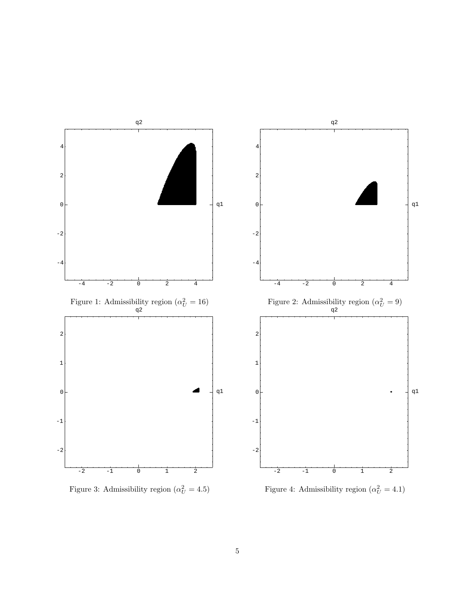

Figure 3: Admissibility region  $(\alpha_U^2 = 4.5)$